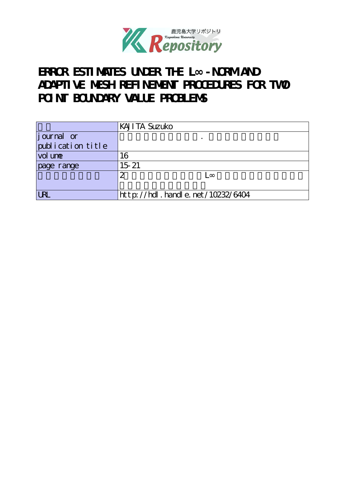

# **ERROR ESTIMATES UNDER THE L∞-NORM AND ADAPTIVE MESH REFINEMENT PROCEDURES FOR TWO POINT BOUNDARY VALUE PROBLEMS**

|                             | <b>KAJI TA Suzuko</b>            |
|-----------------------------|----------------------------------|
| journal or                  |                                  |
| $[{\rm publ}$ ication title |                                  |
| vol une                     | 16                               |
| page range                  | $15 - 21$                        |
|                             | $\overline{\mathcal{Z}}$         |
|                             |                                  |
| <b>LRL</b>                  | http://hdl.handle.net/10232/6404 |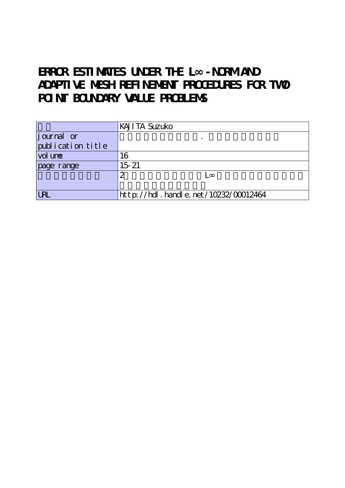# **ERROR ESTIMATES UNDER THE L∞-NORM AND ADAPTIVE MESH REFINEMENT PROCEDURES FOR TWO POINT BOUNDARY VALUE PROBLEMS**

|                     | <b>KAJI TA Suzuko</b>                |
|---------------------|--------------------------------------|
| <i>j</i> ournal or  |                                      |
| publication title   |                                      |
| vol un <del>e</del> | 16                                   |
| page range          | $15 - 21$                            |
|                     | ာ                                    |
|                     |                                      |
| <b>LRL</b>          | http://hdl.handle.net/10232/00012464 |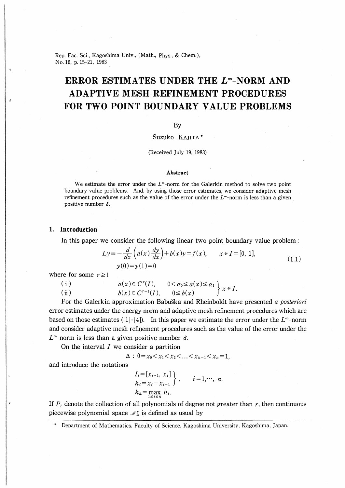Rep. Fac. Sci., Kagoshima Univ., (Math., Phys., & Chem.), No.16, p.15-21, 1983

# ERROR ESTIMATES UNDER THE  $L^{\infty}$ -NORM AND ADAPTIVE MESH REFINEMENT PROCEDURES FOR TWO POINT BOUNDARY VALUE PROBLEMS

# By

# Suzuko Kajita\*

### (Received July 19, 1983)

#### Abstract

We estimate the error under the  $L^{\infty}$ -norm for the Galerkin method to solve two point boundary value problems. And, by using those error estimates, we consider adaptive mesh refinement procedures such as the value of the error under the  $L^{\infty}$ -norm is less than a given positive number  $\delta$ .

### 1. Introduction

In this paper we consider the following linear two point boundary value problem :

$$
Ly \equiv -\frac{d}{dx}\left(a(x)\frac{dy}{dx}\right) + b(x)y = f(x), \qquad x \in I = [0, 1],
$$
  
  $y(0) = y(1) = 0$  (1.1)

where for some  $r \geq 1$ 

(i)  $(ii)$  $a(x) \in C<sup>r</sup>(I)$  $b(x)\in C^{r-1}(I)$  $0 \leq \alpha_0 \leq \alpha(x) \leq \alpha_1$  $0 \leq b(x)$   $\begin{cases} x \in I, \\ 0 \leq t \end{cases}$ 

For the Galerkin approximation Babuška and Rheinboldt have presented a posteriori error estimates under the energy norm and adaptive mesh refinement procedures which are based on those estimates ([1]-[4]). In this paper we estimate the error under the  $L^{\infty}$ -norm and consider adaptive mesh refinement procedures such as the value of the error under the  $L^{\infty}$ -norm is less than a given positive number  $\delta$ .

On the interval  $I$  we consider a partition

$$
\Delta: 0 = x_0 < x_1 < x_2 < \ldots < x_{n-1} < x_n = 1,
$$

and introduce the notations

$$
I_i = [x_{i-1}, x_i] h_i = x_i - x_{i-1} \}, \qquad i = 1, \cdots, n, h_{\Delta} = \max_{1 \le i \le n} h_i.
$$

If  $P<sub>r</sub>$  denote the collection of all polynomials of degree not greater than  $r$ , then continuous piecewise polynomial space  $\mathcal{N}_{\Delta}$  is defined as usual by

Department of Mathematics, Faculty of Science, Kagoshima University, Kagoshima, Japan.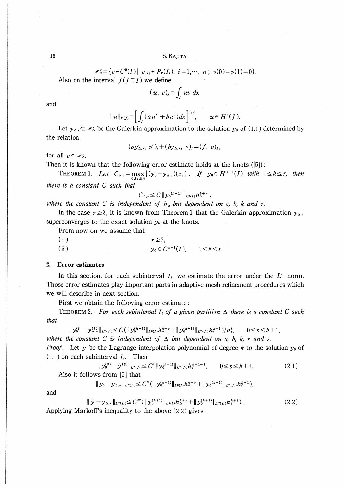$$
\mathscr{M}_\Delta^r = \{ v \in C^0(I) \mid v \mid_{I_i} \in P_r(I_i), i = 1, \cdots, n ; v(0) = v(1) = 0 \}.
$$

Also on the interval  $J(J \subseteq I)$  we define

$$
(u, v)_J = \int_J uv \ dx
$$

and

$$
\|u\|_{E(J)} = \left[\int_J (au'^2 + bu^2) dx\right]^{1/2}, \qquad u \in H^1(J).
$$

Let  $y_{\Delta,r} \in \mathcal{N}_{\Delta}^r$  be the Galerkin approximation to the solution  $y_0$  of (1.1) determined by the relation

$$
(ay'_{\Delta,r}, v')_I + (by_{\Delta,r}, v)_I = (f, v)_I
$$

for all  $v \in \mathcal{M}_{\Delta}^r$ .

Then it is known that the following error estimate holds at the knots  $([5])$ :

THEOREM 1. Let  $C_{\Delta,r} = \max_{0 \le i \le n} |(y_0 - y_{\Delta,r})(x_i)|$ . If  $y_0 \in H^{k+1}(I)$  with  $1 \le k \le r$ , then there is a constant C such that

$$
C_{\Delta,r} \leq C \, \| y_0^{(k+1)} \|_{L^2(I)} h_{\Delta}^{k+r}
$$

where the constant C is independent of  $h_{\Delta}$  but dependent on a, b, k and r.

In the case  $r \ge 2$ , it is known from Theorem 1 that the Galerkin approximation  $y_{\Delta r}$ superconverges to the exact solution  $y_0$  at the knots.

From now on we assume that

 $(i)$  $r \geq 2$  $y_0 \in C^{k+1}(I)$ ,  $1 \le k \le r$ .  $(ii)$ 

# 2. Error estimates

In this section, for each subinterval  $I_i$ , we estimate the error under the  $L^{\infty}$ -norm. Those error estimates play important parts in adaptive mesh refinement procedures which we will describe in next section.

First we obtain the following error estimate:

THEOREM 2. For each subinterval  $I_i$  of a given partition  $\Delta$  there is a constant C such that

$$
\|y_{0}^{(s)} - y_{\Delta,r}^{(s)}\|_{L^{\infty}(I_{i})} \leq C(\|y_{0}^{(k+1)}\|_{L^{2}(I)}h_{\Delta}^{k+r} + \|y_{0}^{(k+1)}\|_{L^{\infty}(I_{i})}h_{i}^{k+1})/h_{i}^{s}, \qquad 0 \leq s \leq k+1,
$$

where the constant C is independent of  $\Delta$  but dependent on a, b, k, r and s.

*Proof.* Let  $\tilde{y}$  be the Lagrange interpolation polynomial of degree k to the solution  $y_0$  of  $(1.1)$  on each subinterval  $I_i$ . Then

$$
\|y_0^{(s)} - \tilde{y}^{(s)}\|_{L^{\infty}(I_i)} \le C' \|y_0^{(k+1)}\|_{L^{\infty}(I_i)} h_i^{k+1-s}, \qquad 0 \le s \le k+1.
$$
 (2.1)  
Also it follows from [5] that

$$
\|y_0-y_{\Delta,r}\|_{L^\infty(I_i)}\leq C''(\|y_0^{(k+1)}\|_{L^2(I)}h_\Delta^{k+r}+\|y_0^{(k+1)}\|_{L^\infty(I_i)}h_i^{k+1}),
$$

and

$$
\|\tilde{y} - y_{\Delta,r}\|_{L^{\infty}(I_t)} \leq C'''(\|y_0^{(k+1)}\|_{L^2(I)} h^{\ell+r} + \|y_0^{(k+1)}\|_{L^{\infty}(I_t)} h^{\ell+1}).
$$
\n(2.2)

Applying Markoff's inequality to the above (2.2) gives

 $16\,$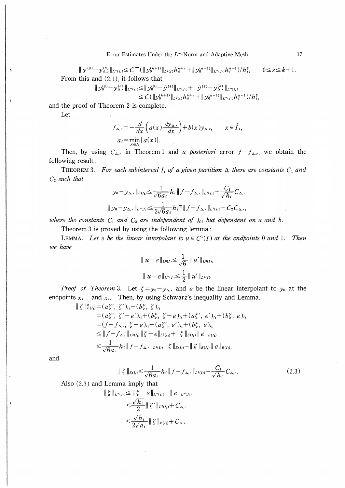Error Estimates Under the  $L^{\infty}$ -Norm and Adaptive Mesh

 $\|\,\tilde y^{(s)}\!-\!y^{(s)}_{\Delta,r}\|_{L^\infty(I_i)}\!\!\le\!C''''(\,\|\,y^{(k+1)}_0\|_{L^2(I)}h^{{k+r}}_{{\Delta}}\!+\|\,y^{(k+1)}_0\|_{L^\infty(I_i)}h^{{k+1}}_{i'})/h_i^s,$  $0 \leq s \leq k+1$ . From this and  $(2.1)$ , it follows that

$$
\|y_0^{(s)} - y_{\Delta,r}^{(s)}\|_{L^\infty(I_i)} \le \|y_0^{(s)} - \tilde{y}^{(s)}\|_{L^\infty(I_i)} + \|\tilde{y}^{(s)} - y_{\Delta,r}^{(s)}\|_{L^\infty(I_i)} \le C(\|y_0^{(k+1)}\|_{L^2(I)} h_2^{k+r} + \|y_0^{(k+1)}\|_{L^\infty(I_i)} h_i^{k+1})/h_i^s,
$$

and the proof of Theorem 2 is complete.

Let

$$
f_{\Delta,r} = -\frac{d}{dx}\left(a(x)\frac{dy_{\Delta,r}}{dx}\right) + b(x)y_{\Delta,r}, \qquad x \in \mathring{I}_i,
$$
  

$$
a_i = \min_{x \in I_i} |a(x)|.
$$

Then, by using  $C_{\Delta,r}$  in Theorem 1 and *a posteriori* error  $f - f_{\Delta,r}$ , we obtain the following result:

THEOREM 3. For each subinterval  $I_i$  of a given partition  $\Delta$  there are constants  $C_1$  and  $C_2$  such that

$$
\|y_0 - y_{\Delta,r}\|_{E(I_i)} \leq \frac{1}{\sqrt{6a_i}} h_i \|f - f_{\Delta,r}\|_{L^2(I_i)} + \frac{C_1}{\sqrt{h_i}} C_{\Delta,r}
$$
  

$$
\|y_0 - y_{\Delta,r}\|_{L^{\infty}(I_i)} \leq \frac{1}{2\sqrt{6a_i}} h_i^{3/2} \|f - f_{\Delta,r}\|_{L^2(I_i)} + C_2 C_{\Delta,r},
$$

where the constants  $C_1$  and  $C_2$  are independent of  $h_i$  but dependent on a and b.

Theorem 3 is proved by using the following lemma:

LEMMA. Let e be the linear interpolant to  $u \in C^1(I)$  at the endpoints 0 and 1. Then we have

$$
\| u - e \|_{L^2(I)} \leq \frac{1}{\sqrt{6}} \| u' \|_{L^2(I)},
$$
  

$$
\| u - e \|_{L^{\infty}(I)} \leq \frac{1}{2} \| u' \|_{L^2(I)}.
$$

*Proof of Theorem 3.* Let  $\zeta = y_0 - y_{\Delta,r}$  and e be the linear interpolant to  $y_0$  at the endpoints  $x_{i-1}$  and  $x_i$ . Then, by using Schwarz's inequality and Lemma,

$$
\begin{split} \|\xi\|_{E(I_{i})}^{2} &= (a\xi',\ \xi')_{I_{i}} + (b\xi,\ \xi)_{I_{i}} \\ &= (a\xi',\ \xi'-e')_{I_{i}} + (b\xi,\ \xi-e)_{I_{i}} + (a\xi',\ e')_{I_{i}} + (b\xi,\ e)_{I_{i}} \\ &= (f - f_{\Delta,r},\ \xi-e)_{I_{i}} + (a\xi',\ e')_{I_{i}} + (b\xi,\ e)_{I_{i}} \\ &\leq \|f - f_{\Delta,r}\|_{L^{2}(I_{i})} \|\xi-e\|_{L^{2}(I_{i})} + \|\xi\|_{E(I_{i})} \|e\|_{E(I_{i})} \\ &\leq \frac{1}{\sqrt{6}a_{i}} h_{i} \|f - f_{\Delta,r}\|_{L^{2}(I_{i})} \| \xi\|_{E(I_{i})} + \| \xi\|_{E(I_{i})} \|e\|_{E(I_{i})}, \end{split}
$$

and

$$
\| \zeta \|_{E(I_i)} \leq \frac{1}{\sqrt{6a_i}} h_i \| f - f_{\Delta, r} \|_{L^2(I_i)} + \frac{C_1}{\sqrt{h_i}} C_{\Delta, r}.
$$
 (2.3)

Also 
$$
(2.3)
$$
 and Lemma imply that

$$
\|\xi\|_{L^{\infty}(I_i)} \leq \|\xi - e\|_{L^{\infty}(I_i)} + \|e\|_{L^{\infty}(I_i)}
$$
  
\n
$$
\leq \frac{\sqrt{h_i}}{2} \|\xi'\|_{L^2(I_i)} + C_{\Delta,r}
$$
  
\n
$$
\leq \frac{\sqrt{h_i}}{2\sqrt{a_i}} \|\xi\|_{E(I_i)} + C_{\Delta,r}
$$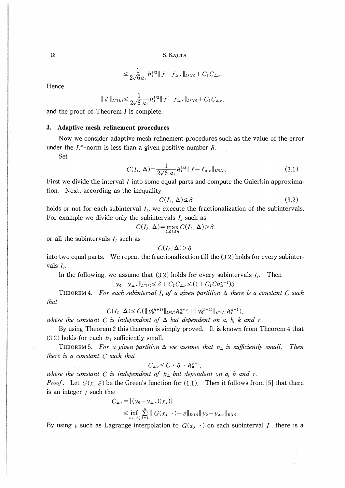$$
\leq \frac{1}{2\sqrt{6}a_i} h_i^{3/2} \| f - f_{\Delta,r} \|_{L^2(I_i)} + C_2 C_{\Delta,r}.
$$

Hence

$$
|\zeta\|_{L^{\infty}(I_i)} \leq \frac{1}{2\sqrt{6} a_i} h_i^{3/2} \|f - f_{\Delta,r}\|_{L^2(I_i)} + C_2 C_{\Delta,r},
$$

and the proof of Theorem 3 is complete.

### 3. Adaptive mesh refinement procedures

Now we consider adaptive mesh refinement procedures such as the value of the error under the  $L^{\infty}$ -norm is less than a given positive number  $\delta$ .

Set

$$
C(I_i, \Delta) = \frac{1}{2\sqrt{6} a_i} h_i^{3/2} \| f - f_{\Delta, r} \|_{L^2(I_i)}.
$$
 (3.1)

First we divide the interval I into some equal parts and compute the Galerkin approximation. Next, according as the inequality

$$
C(I_i, \Delta) \le \delta \tag{3.2}
$$

holds or not for each subinterval  $I_i$ , we execute the fractionalization of the subintervals. For example we divide only the subintervals  $I_i$  such as

$$
C(I_j, \Delta) = \max_{1 \le i \le n} C(I_i, \Delta) > \delta
$$

or all the subintervals  $I_i$  such as

$$
C(I_i, \Delta) > \delta
$$

into two equal parts. We repeat the fractionalization till the (3.2) holds for every subintervals  $I_i$ .

In the following, we assume that  $(3.2)$  holds for every subintervals  $I_i$ . Then

$$
\|y_0 - y_{\Delta,r}\|_{L^{\infty}(I)} \leq \delta + C_2 C_{\Delta,r} \leq (1 + C_2 C h_{\Delta}^{r-1}) \delta.
$$

THEOREM 4. For each subinterval  $I_i$  of a given partition  $\Delta$  there is a constant C such that

$$
C(I_i, \Delta) \leq C(\|y_0^{(k+1)}\|_{L^2(I)}h_{\Delta}^{k+r} + \|y_0^{(k+1)}\|_{L^{\infty}(I_i)}h_i^{k+1}),
$$

where the constant C is independent of  $\Delta$  but dependent on a, b, k and r.

By using Theorem 2 this theorem is simply proved. It is known from Theorem 4 that  $(3.2)$  holds for each  $h_i$  sufficiently small.

THEOREM 5. For a given partition  $\Delta$  we assume that  $h_{\Delta}$  is sufficiently small. Then there is a constant C such that

$$
C_{\Delta,r} \leq C \cdot \delta \cdot h_{\Delta}^{r-1},
$$

where the constant C is independent of  $h_{\Delta}$  but dependent on a, b and r. *Proof.* Let  $G(x, \xi)$  be the Green's function for (1.1). Then it follows from [5] that there is an integer  $i$  such that

$$
C_{\Delta,r} = |(y_0 - y_{\Delta,r})(x_j)|
$$
  
\n
$$
\leq \inf_{v \in \mathscr{F}_\Delta} \sum_{i=1}^n ||G(x_j, \cdot) - v||_{E(I_i)} ||y_0 - y_{\Delta,r}||_{E(I_i)}.
$$

By using v such as Lagrange interpolation to  $G(x_i, \cdot)$  on each subinterval  $I_i$ , there is a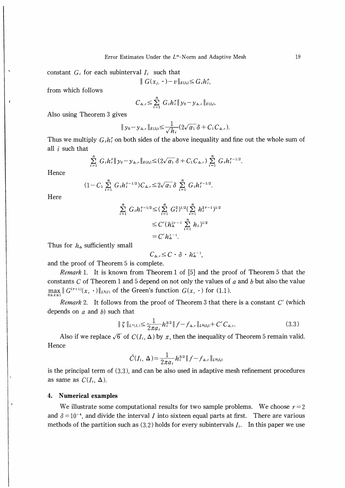constant  $G_i$  for each subinterval  $I_i$  such that

$$
\| G(x_{j},\cdot)-v\|_{E(I_i)}\leq G_i h_i^r,
$$

from which follows

$$
C_{\Delta,r} \leq \sum_{i=1}^n G_i h_i^r \| y_0 - y_{\Delta,r} \|_{E(I_i)}.
$$

Also using Theorem 3 gives

ź

$$
\|y_0 - y_{\Delta,r}\|_{E(I_i)} \leq \frac{1}{\sqrt{h_i}} (2\sqrt{a_1} \delta + C_1 C_{\Delta,r}).
$$

Thus we multiply  $G_i h_i^r$  on both sides of the above inequality and fine out the whole sum of all  $i$  such that

$$
\sum_{i=1}^n G_i h_i^r \| y_0 - y_{\Delta,r} \|_{E(I_i)} \leq (2\sqrt{a_1} \, \delta + C_1 C_{\Delta,r}) \sum_{i=1}^n G_i h_i^{r-1/2}.
$$

Hence

$$
(1-C_1\sum_{i=1}^n G_ih_i^{r-1/2})C_{\Delta,r}\leq 2\sqrt{\alpha_1}\delta\sum_{i=1}^n G_ih_i^{r-1/2}.
$$

Here

$$
\sum_{i=1}^{n} G_i h_i^{r-1/2} \leq (\sum_{i=1}^{n} G_i^2)^{1/2} (\sum_{i=1}^{n} h_i^{2r-1})^{1/2}
$$
  

$$
\leq C' (h_2^{2r-2} \sum_{i=1}^{n} h_i)^{1/2}
$$
  

$$
= C' h_2^{r-1}.
$$

Thus for  $h_{\Delta}$  sufficiently small

$$
C_{\Delta,r} \leq C \cdot \delta \cdot h_{\Delta}^{r-1},
$$

and the proof of Theorem 5 is complete.

*Remark* 1. It is known from Theorem 1 of [5] and the proof of Theorem 5 that the constants  $C$  of Theorem 1 and 5 depend on not only the values of  $a$  and  $b$  but also the value  $\max_{0 \le x \le 1} || G^{(r+1)}(x, \cdot) ||_{L^2(I)}$  of the Green's function  $G(x, \cdot)$  for (1.1).

Remark 2. It follows from the proof of Theorem 3 that there is a constant  $C'$  (which depends on  $a$  and  $b$ ) such that

$$
\| \zeta \|_{L^{\infty}(I_i)} \leq \frac{1}{2\pi a_i} h_i^{3/2} \| f - f_{\Delta, r} \|_{L^2(I_i)} + C' C_{\Delta, r}.
$$
 (3.3)

Also if we replace  $\sqrt{6}$  of  $C(I_i, \Delta)$  by  $\pi$ , then the inequality of Theorem 5 remain valid. Hence

$$
\tilde{C}(I_i, \Delta) = \frac{1}{2\pi a_i} h_i^{3/2} || f - f_{\Delta, r} ||_{L^2(I_i)}
$$

is the principal term of (3.3), and can be also used in adaptive mesh refinement procedures as same as  $C(I_i, \Delta)$ .

#### 4. **Numerical examples**

We illustrate some computational results for two sample problems. We choose  $r=2$ and  $\delta = 10^{-4}$ , and divide the interval *I* into sixteen equal parts at first. There are various methods of the partition such as  $(3.2)$  holds for every subintervals  $I_i$ . In this paper we use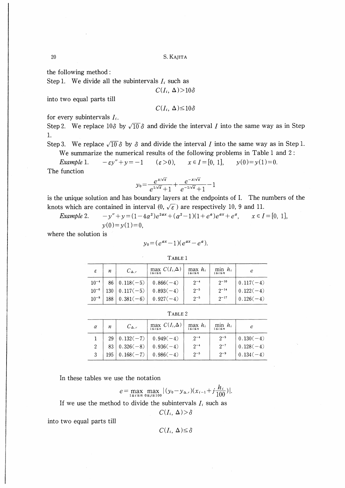20 S. Kajita

the following method :

Step 1. We divide all the subintervals  $I_i$  such as

$$
C(I_i, \Delta) > 10\delta
$$

into two equal parts till

$$
C(I_i, \Delta) \leq 10\delta
$$

for every subintervals  $I_i$ .

Step 2. We replace 10 $\delta$  by  $\sqrt{10} \delta$  and divide the interval *I* into the same way as in Step 1.

Step 3. We replace  $\sqrt{10} \delta$  by  $\delta$  and divide the interval *I* into the same way as in Step 1. We summarize the numerical results of the following problems in Table 1 and 2 :

Example 1.  $-\epsilon y'' + y = -1$   $(\epsilon > 0), \quad x \in I = [0, 1], \quad y(0) = y(1) = 0.$ 

The function

$$
y_0 = \frac{e^{x/\sqrt{\varepsilon}}}{e^{1/\sqrt{\varepsilon}}+1} + \frac{e^{-x/\sqrt{\varepsilon}}}{e^{-1/\sqrt{\varepsilon}}+1} - 1
$$

is the unique solution and has boundary layers at the endpoints of I. The numbers of the knots which are contained in interval  $(0, \sqrt{\epsilon})$  are respectively 10, 9 and 11.

Example 2. 
$$
-y'' + y = (1 - 4a^2)e^{2ax} + (a^2 - 1)(1 + e^a)e^{ax} + e^a, \qquad x \in I = [0, 1],
$$

$$
y(0) = y(1) = 0,
$$

where the solution is

$$
y_0 = (e^{ax}-1)(e^{ax}-e^a).
$$

TABLE<sub>1</sub>

| ε         | п   | $C_{\Delta,r}$            | max $C(I_i,\Delta)$<br>$1 \leq i \leq n$ | $max h_i$<br>$1 \leq i \leq n$ | $min h_i$<br>$1 \leq i \leq n$ |             |
|-----------|-----|---------------------------|------------------------------------------|--------------------------------|--------------------------------|-------------|
| $10^{-4}$ |     | $86   0.118(-5)  $        | $0.866(-4)$                              | $2^{-4}$                       | $2^{-10}$                      | $0.117(-4)$ |
| $10^{-6}$ |     | $130 \mid 0.117(-5) \mid$ | $0.893(-4)$                              | $2^{-5}$                       | $2^{-14}$                      | $0.122(-4)$ |
| $10^{-8}$ | 188 | $0.381(-6)$               | $0.927(-4)$                              | $2^{-5}$                       | $2^{-17}$                      | $0.126(-4)$ |

| TABLE 2        |                 |                |                                          |                                |                                |             |  |  |
|----------------|-----------------|----------------|------------------------------------------|--------------------------------|--------------------------------|-------------|--|--|
| $\alpha$       | n               | $C_{\Delta,r}$ | max $C(I_i,\Delta)$<br>$1 \leq i \leq n$ | $max h_i$<br>$1 \leq i \leq n$ | $min h_i$<br>$1 \leq i \leq n$ |             |  |  |
|                | 29 <sup>1</sup> | $0.132(-7)$    | $0.949(-4)$                              | $2^{-4}$                       | $2^{-5}$                       | $0.130(-4)$ |  |  |
| $\overline{2}$ | 83              | $0.326(-8)$    | $0.936(-4)$                              | $2^{-4}$                       | $2^{-7}$                       | $0.128(-4)$ |  |  |
| 3              | 195             | $0.168(-7)$    | $0.986(-4)$                              | $2^{-5}$                       | $2^{-9}$                       | $0.134(-4)$ |  |  |

In these tables we use the notation

$$
e = \max_{1 \le i \le n} \max_{0 \le j \le 100} |(y_0 - y_{\Delta,r})(x_{i-1} + j\frac{h_i}{100})|.
$$

If we use the method to divide the subintervals  $I_i$  such as

$$
C(I_i, \Delta) > \delta
$$

into two equal parts till

 $C(I_i, \Delta) \leq \delta$